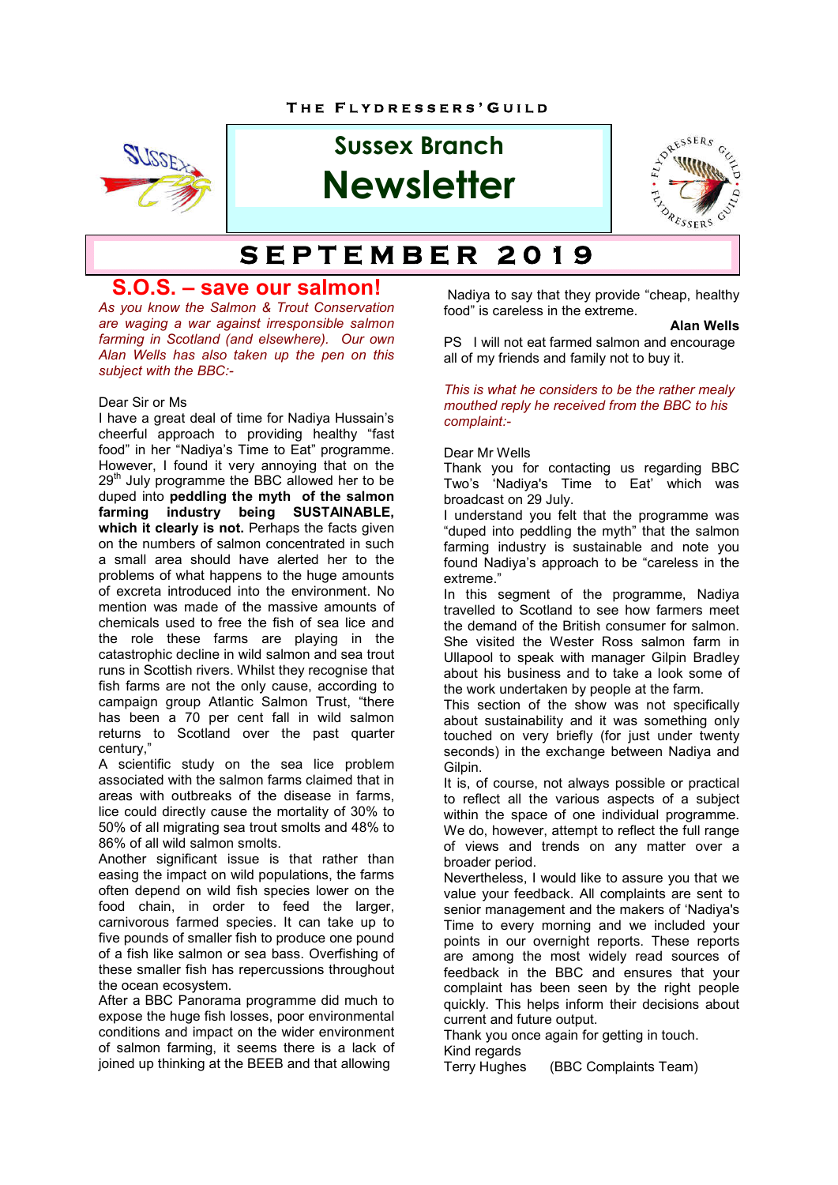

# **Sussex Branch Newsletter**



# $SET **THEM BER** 2019$

## **S.O.S. – save our salmon!**

*As you know the Salmon & Trout Conservation are waging a war against irresponsible salmon farming in Scotland (and elsewhere). Our own Alan Wells has also taken up the pen on this subject with the BBC:-*

#### Dear Sir or Ms

I have a great deal of time for Nadiya Hussain's cheerful approach to providing healthy "fast food" in her "Nadiya's Time to Eat" programme. However, I found it very annoying that on the  $29<sup>th</sup>$  July programme the BBC allowed her to be duped into **peddling the myth of the salmon farming industry being SUSTAINABLE,**  which it clearly is not. Perhaps the facts given on the numbers of salmon concentrated in such a small area should have alerted her to the problems of what happens to the huge amounts of excreta introduced into the environment. No mention was made of the massive amounts of chemicals used to free the fish of sea lice and the role these farms are playing in the catastrophic decline in wild salmon and sea trout runs in Scottish rivers. Whilst they recognise that fish farms are not the only cause, according to campaign group Atlantic Salmon Trust, "there has been a 70 per cent fall in wild salmon returns to Scotland over the past quarter century,"

A scientific study on the sea lice problem associated with the salmon farms claimed that in areas with outbreaks of the disease in farms, lice could directly cause the mortality of 30% to 50% of all migrating sea trout smolts and 48% to 86% of all wild salmon smolts.

Another significant issue is that rather than easing the impact on wild populations, the farms often depend on wild fish species lower on the food chain, in order to feed the larger, carnivorous farmed species. It can take up to five pounds of smaller fish to produce one pound of a fish like salmon or sea bass. Overfishing of these smaller fish has repercussions throughout the ocean ecosystem.

After a BBC Panorama programme did much to expose the huge fish losses, poor environmental conditions and impact on the wider environment of salmon farming, it seems there is a lack of joined up thinking at the BEEB and that allowing

 Nadiya to say that they provide "cheap, healthy food" is careless in the extreme.

#### **Alan Wells**

PS I will not eat farmed salmon and encourage all of my friends and family not to buy it.

#### *This is what he considers to be the rather mealy mouthed reply he received from the BBC to his complaint:-*

#### Dear Mr Wells

Thank you for contacting us regarding BBC Two's 'Nadiya's Time to Eat' which was broadcast on 29 July.

I understand you felt that the programme was "duped into peddling the myth" that the salmon farming industry is sustainable and note you found Nadiya's approach to be "careless in the extreme."

In this segment of the programme, Nadiya travelled to Scotland to see how farmers meet the demand of the British consumer for salmon. She visited the Wester Ross salmon farm in Ullapool to speak with manager Gilpin Bradley about his business and to take a look some of the work undertaken by people at the farm.

This section of the show was not specifically about sustainability and it was something only touched on very briefly (for just under twenty seconds) in the exchange between Nadiya and **Gilpin** 

It is, of course, not always possible or practical to reflect all the various aspects of a subject within the space of one individual programme. We do, however, attempt to reflect the full range of views and trends on any matter over a broader period.

Nevertheless, I would like to assure you that we value your feedback. All complaints are sent to senior management and the makers of 'Nadiya's Time to every morning and we included your points in our overnight reports. These reports are among the most widely read sources of feedback in the BBC and ensures that your complaint has been seen by the right people quickly. This helps inform their decisions about current and future output.

Thank you once again for getting in touch. Kind regards

Terry Hughes (BBC Complaints Team)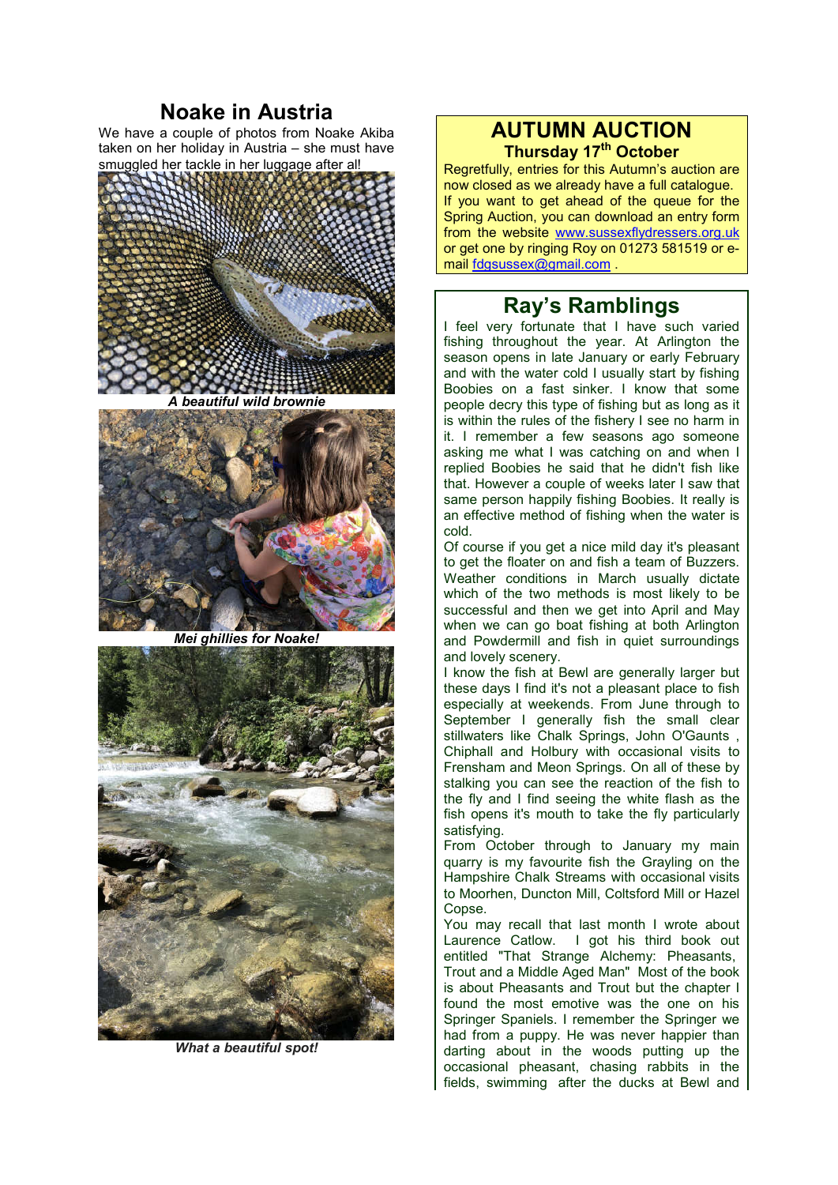## **Noake in Austria**

We have a couple of photos from Noake Akiba taken on her holiday in Austria – she must have smuggled her tackle in her luggage after al!





*Mei ghillies for Noake!*



*What a beautiful spot!*

## **AUTUMN AUCTION Thursday 17th October**

Regretfully, entries for this Autumn's auction are now closed as we already have a full catalogue. If you want to get ahead of the queue for the Spring Auction, you can download an entry form from the website www.sussexflydressers.org.uk or get one by ringing Roy on 01273 581519 or email fdgsussex@gmail.com .

# **Ray's Ramblings**

I feel very fortunate that I have such varied fishing throughout the year. At Arlington the season opens in late January or early February and with the water cold I usually start by fishing Boobies on a fast sinker. I know that some people decry this type of fishing but as long as it is within the rules of the fishery I see no harm in it. I remember a few seasons ago someone asking me what I was catching on and when I replied Boobies he said that he didn't fish like that. However a couple of weeks later I saw that same person happily fishing Boobies. It really is an effective method of fishing when the water is cold.

Of course if you get a nice mild day it's pleasant to get the floater on and fish a team of Buzzers. Weather conditions in March usually dictate which of the two methods is most likely to be successful and then we get into April and May when we can go boat fishing at both Arlington and Powdermill and fish in quiet surroundings and lovely scenery.

I know the fish at Bewl are generally larger but these days I find it's not a pleasant place to fish especially at weekends. From June through to September I generally fish the small clear stillwaters like Chalk Springs, John O'Gaunts , Chiphall and Holbury with occasional visits to Frensham and Meon Springs. On all of these by stalking you can see the reaction of the fish to the fly and I find seeing the white flash as the fish opens it's mouth to take the fly particularly satisfying.

From October through to January my main quarry is my favourite fish the Grayling on the Hampshire Chalk Streams with occasional visits to Moorhen, Duncton Mill, Coltsford Mill or Hazel Copse.

You may recall that last month I wrote about Laurence Catlow. I got his third book out entitled "That Strange Alchemy: Pheasants, Trout and a Middle Aged Man" Most of the book is about Pheasants and Trout but the chapter I found the most emotive was the one on his Springer Spaniels. I remember the Springer we had from a puppy. He was never happier than darting about in the woods putting up the occasional pheasant, chasing rabbits in the fields, swimming after the ducks at Bewl and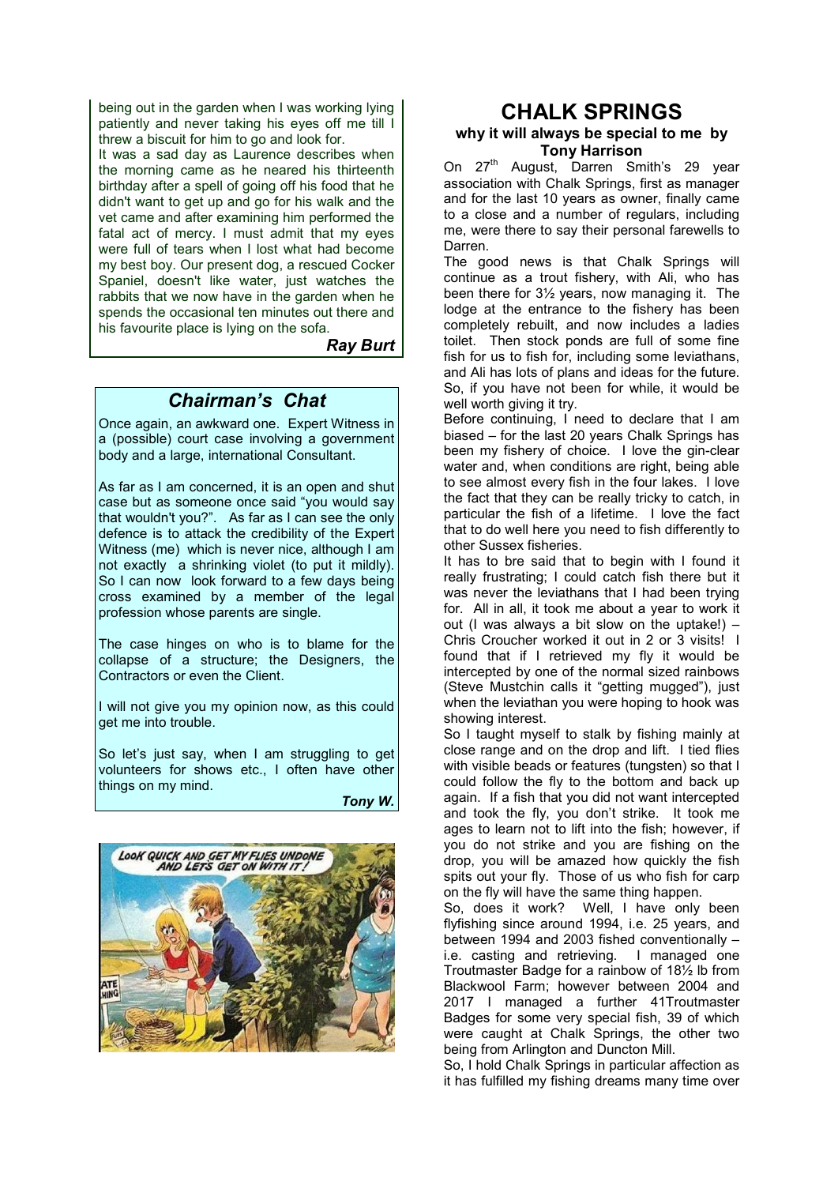being out in the garden when I was working lying patiently and never taking his eyes off me till I threw a biscuit for him to go and look for.

It was a sad day as Laurence describes when the morning came as he neared his thirteenth birthday after a spell of going off his food that he didn't want to get up and go for his walk and the vet came and after examining him performed the fatal act of mercy. I must admit that my eyes were full of tears when I lost what had become my best boy. Our present dog, a rescued Cocker Spaniel, doesn't like water, just watches the rabbits that we now have in the garden when he spends the occasional ten minutes out there and his favourite place is lying on the sofa.

#### *Ray Burt*

### *Chairman's Chat*

Once again, an awkward one. Expert Witness in a (possible) court case involving a government body and a large, international Consultant.

As far as I am concerned, it is an open and shut case but as someone once said "you would say that wouldn't you?". As far as I can see the only defence is to attack the credibility of the Expert Witness (me) which is never nice, although I am not exactly a shrinking violet (to put it mildly). So I can now look forward to a few days being cross examined by a member of the legal profession whose parents are single.

The case hinges on who is to blame for the collapse of a structure; the Designers, the Contractors or even the Client.

I will not give you my opinion now, as this could get me into trouble.

So let's just say, when I am struggling to get volunteers for shows etc., I often have other things on my mind.

*Tony W.*



## **CHALK SPRINGS**

#### **why it will always be special to me by Tony Harrison**

On 27<sup>th</sup> August, Darren Smith's 29 year association with Chalk Springs, first as manager and for the last 10 years as owner, finally came to a close and a number of regulars, including me, were there to say their personal farewells to Darren.

The good news is that Chalk Springs will continue as a trout fishery, with Ali, who has been there for 3½ years, now managing it. The lodge at the entrance to the fishery has been completely rebuilt, and now includes a ladies toilet. Then stock ponds are full of some fine fish for us to fish for, including some leviathans, and Ali has lots of plans and ideas for the future. So, if you have not been for while, it would be well worth giving it try.

Before continuing, I need to declare that I am biased – for the last 20 years Chalk Springs has been my fishery of choice. I love the gin-clear water and, when conditions are right, being able to see almost every fish in the four lakes. I love the fact that they can be really tricky to catch, in particular the fish of a lifetime. I love the fact that to do well here you need to fish differently to other Sussex fisheries.

It has to bre said that to begin with I found it really frustrating; I could catch fish there but it was never the leviathans that I had been trying for. All in all, it took me about a year to work it out (I was always a bit slow on the uptake!) – Chris Croucher worked it out in 2 or 3 visits! I found that if I retrieved my fly it would be intercepted by one of the normal sized rainbows (Steve Mustchin calls it "getting mugged"), just when the leviathan you were hoping to hook was showing interest.

So I taught myself to stalk by fishing mainly at close range and on the drop and lift. I tied flies with visible beads or features (tungsten) so that I could follow the fly to the bottom and back up again. If a fish that you did not want intercepted and took the fly, you don't strike. It took me ages to learn not to lift into the fish; however, if you do not strike and you are fishing on the drop, you will be amazed how quickly the fish spits out your fly. Those of us who fish for carp on the fly will have the same thing happen.

So, does it work? Well, I have only been flyfishing since around 1994, i.e. 25 years, and between 1994 and 2003 fished conventionally – i.e. casting and retrieving. I managed one Troutmaster Badge for a rainbow of 18½ lb from Blackwool Farm; however between 2004 and 2017 I managed a further 41Troutmaster Badges for some very special fish, 39 of which were caught at Chalk Springs, the other two being from Arlington and Duncton Mill.

So, I hold Chalk Springs in particular affection as it has fulfilled my fishing dreams many time over